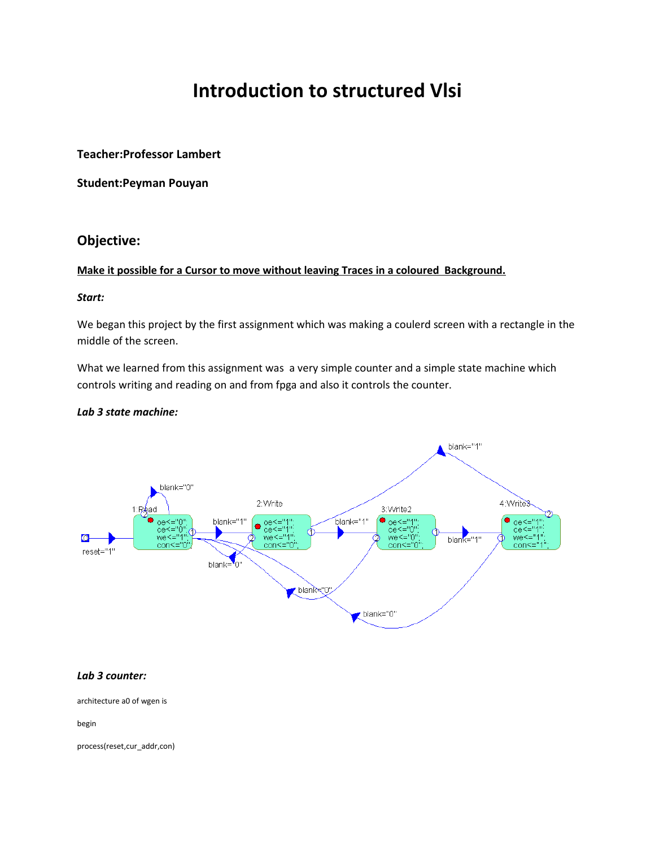# **Introduction to structured Vlsi**

**Teacher:Professor Lambert**

**Student:Peyman Pouyan**

# **Objective:**

## **Make it possible for a Cursor to move without leaving Traces in a coloured Background.**

#### *Start:*

We began this project by the first assignment which was making a coulerd screen with a rectangle in the middle of the screen.

What we learned from this assignment was a very simple counter and a simple state machine which controls writing and reading on and from fpga and also it controls the counter.

#### *Lab 3 state machine:*



#### *Lab 3 counter:*

architecture a0 of wgen is

begin

process(reset,cur\_addr,con)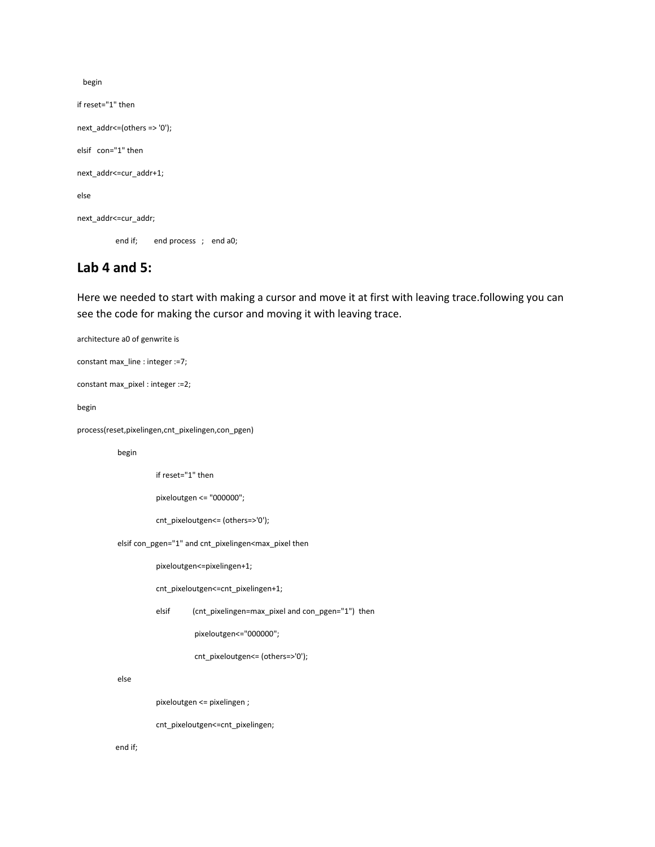begin if reset="1" then next\_addr<=(others => '0'); elsif con="1" then next\_addr<=cur\_addr+1;

else

next\_addr<=cur\_addr;

end if; end process ; end a0;

## **Lab 4 and 5:**

Here we needed to start with making a cursor and move it at first with leaving trace.following you can see the code for making the cursor and moving it with leaving trace.

architecture a0 of genwrite is constant max\_line : integer :=7; constant max\_pixel : integer :=2; begin process(reset,pixelingen,cnt\_pixelingen,con\_pgen) begin if reset="1" then pixeloutgen <= "000000"; cnt\_pixeloutgen<= (others=>'0'); elsif con\_pgen="1" and cnt\_pixelingen<max\_pixel then pixeloutgen<=pixelingen+1; cnt\_pixeloutgen<=cnt\_pixelingen+1; elsif (cnt\_pixelingen=max\_pixel and con\_pgen="1") then pixeloutgen<="000000"; cnt\_pixeloutgen<= (others=>'0'); else pixeloutgen <= pixelingen ; cnt\_pixeloutgen<=cnt\_pixelingen;

end if;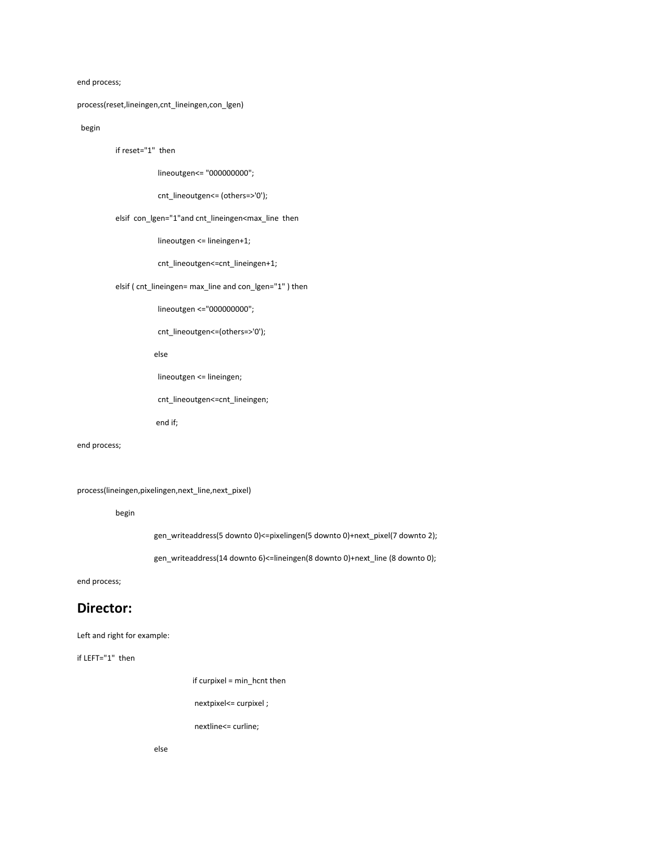#### end process;

#### process(reset,lineingen,cnt\_lineingen,con\_lgen)

#### begin

if reset="1" then

lineoutgen<= "000000000";

cnt\_lineoutgen<= (others=>'0');

#### elsif con\_lgen="1"and cnt\_lineingen<max\_line then

lineoutgen <= lineingen+1;

cnt\_lineoutgen<=cnt\_lineingen+1;

elsif ( cnt\_lineingen= max\_line and con\_lgen="1" ) then

lineoutgen <="000000000";

cnt\_lineoutgen<=(others=>'0');

else

lineoutgen <= lineingen;

cnt\_lineoutgen<=cnt\_lineingen;

end if;

end process;

process(lineingen,pixelingen,next\_line,next\_pixel)

begin

gen\_writeaddress(5 downto 0)<=pixelingen(5 downto 0)+next\_pixel(7 downto 2);

gen\_writeaddress(14 downto 6)<=lineingen(8 downto 0)+next\_line (8 downto 0);

end process;

## **Director:**

#### Left and right for example:

if LEFT="1" then

if curpixel = min\_hcnt then

nextpixel <= curpixel ;

nextline<= curline;

else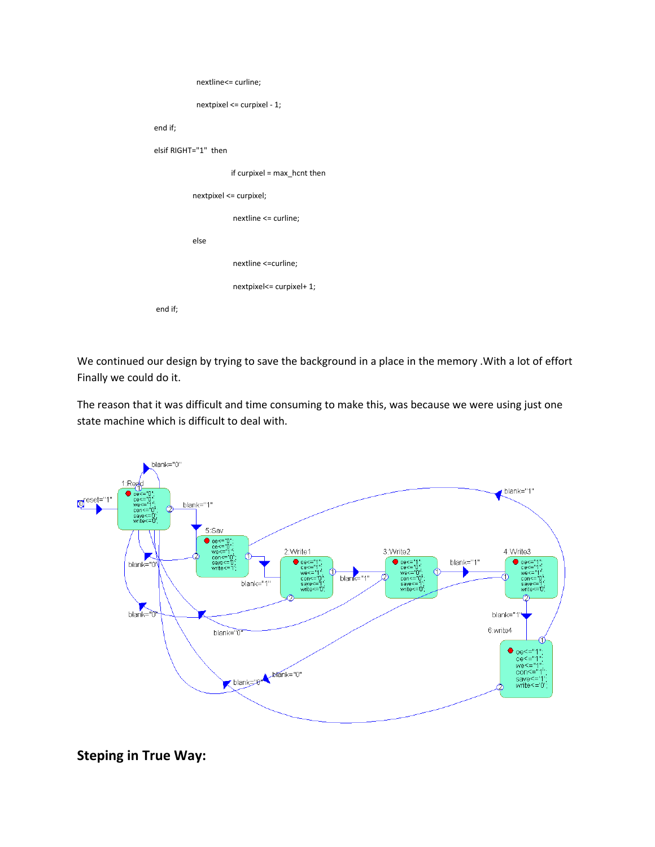| nextline<= curline;           |
|-------------------------------|
| nextpixel <= curpixel - 1;    |
| end if;                       |
| elsif RIGHT="1" then          |
| if curpixel = $max$ hcnt then |
| nextpixel <= curpixel;        |
| nextline <= curline;          |
| else                          |
| nextline <= curline;          |
| nextpixel <= curpixel+ 1;     |
| end if;                       |

We continued our design by trying to save the background in a place in the memory .With a lot of effort Finally we could do it.

The reason that it was difficult and time consuming to make this, was because we were using just one state machine which is difficult to deal with.



**Steping in True Way:**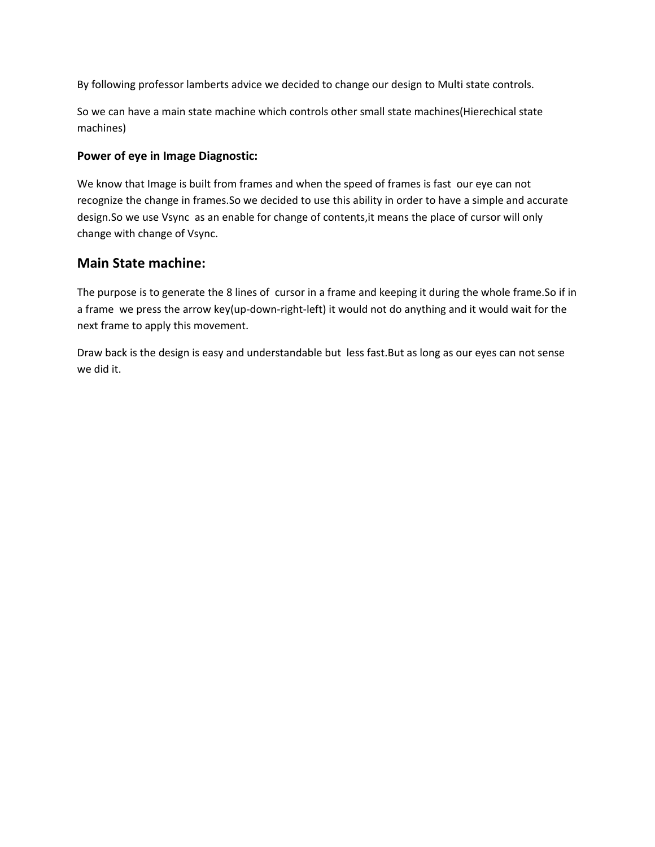By following professor lamberts advice we decided to change our design to Multi state controls.

So we can have a main state machine which controls other small state machines(Hierechical state machines)

## **Power of eye in Image Diagnostic:**

We know that Image is built from frames and when the speed of frames is fast our eye can not recognize the change in frames.So we decided to use this ability in order to have a simple and accurate design.So we use Vsync as an enable for change of contents,it means the place of cursor will only change with change of Vsync.

# **Main State machine:**

The purpose is to generate the 8 lines of cursor in a frame and keeping it during the whole frame.So if in a frame we press the arrow key(up-down-right-left) it would not do anything and it would wait for the next frame to apply this movement.

Draw back is the design is easy and understandable but less fast.But as long as our eyes can not sense we did it.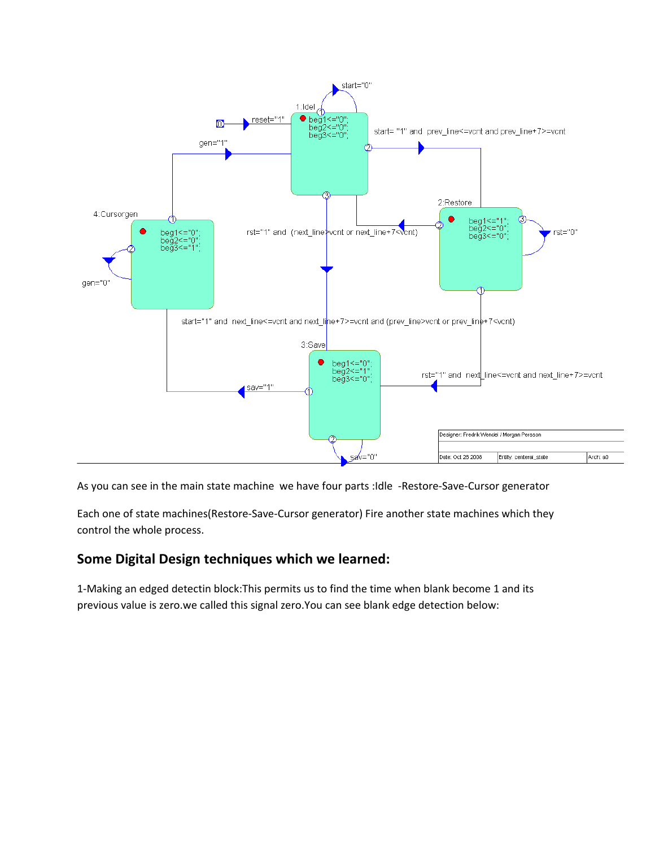

As you can see in the main state machine we have four parts :Idle -Restore-Save-Cursor generator

Each one of state machines(Restore-Save-Cursor generator) Fire another state machines which they control the whole process.

# **Some Digital Design techniques which we learned:**

1-Making an edged detectin block:This permits us to find the time when blank become 1 and its previous value is zero.we called this signal zero.You can see blank edge detection below: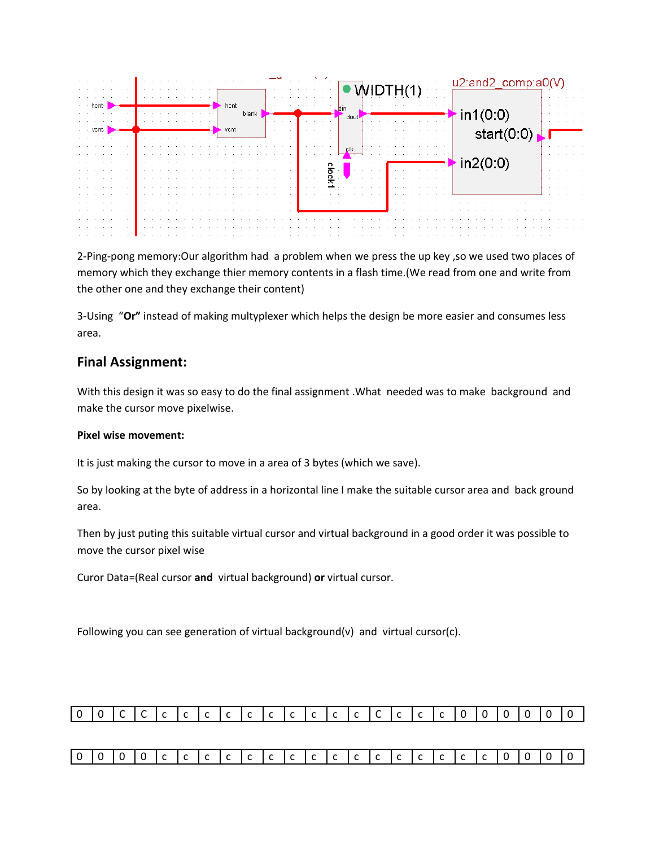

2-Ping-pong memory:Our algorithm had a problem when we press the up key ,so we used two places of memory which they exchange thier memory contents in a flash time.(We read from one and write from the other one and they exchange their content)

3-Using "**Or"** instead of making multyplexer which helps the design be more easier and consumes less area.

## **Final Assignment:**

With this design it was so easy to do the final assignment .What needed was to make background and make the cursor move pixelwise.

## **Pixel wise movement:**

It is just making the cursor to move in a area of 3 bytes (which we save).

So by looking at the byte of address in a horizontal line I make the suitable cursor area and back ground area.

Then by just puting this suitable virtual cursor and virtual background in a good order it was possible to move the cursor pixel wise

Curor Data=(Real cursor **and** virtual background) **or** virtual cursor.

Following you can see generation of virtual background(v) and virtual cursor(c).



|--|--|--|--|--|--|--|--|--|--|--|--|--|--|--|--|--|--|--|--|--|--|--|--|